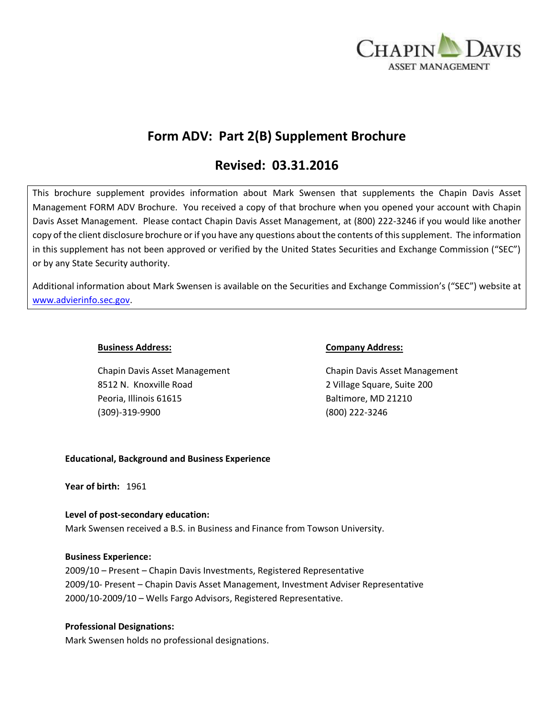

# **Form ADV: Part 2(B) Supplement Brochure**

# **Revised: 03.31.2016**

This brochure supplement provides information about Mark Swensen that supplements the Chapin Davis Asset Management FORM ADV Brochure. You received a copy of that brochure when you opened your account with Chapin Davis Asset Management. Please contact Chapin Davis Asset Management, at (800) 222-3246 if you would like another copy of the client disclosure brochure or if you have any questions about the contents of this supplement. The information in this supplement has not been approved or verified by the United States Securities and Exchange Commission ("SEC") or by any State Security authority.

Additional information about Mark Swensen is available on the Securities and Exchange Commission's ("SEC") website at [www.advierinfo.sec.gov.](http://www.advierinfo.sec.gov/)

Chapin Davis Asset Management Chapin Davis Asset Management 8512 N. Knoxville Road 2 Village Square, Suite 200 Peoria, Illinois 61615 Baltimore, MD 21210 (309)-319-9900 (800) 222-3246

## **Business Address: Company Address:**

# **Educational, Background and Business Experience**

**Year of birth:** 1961

# **Level of post-secondary education:**

Mark Swensen received a B.S. in Business and Finance from Towson University.

#### **Business Experience:**

2009/10 – Present – Chapin Davis Investments, Registered Representative 2009/10- Present – Chapin Davis Asset Management, Investment Adviser Representative 2000/10-2009/10 – Wells Fargo Advisors, Registered Representative.

# **Professional Designations:**

Mark Swensen holds no professional designations.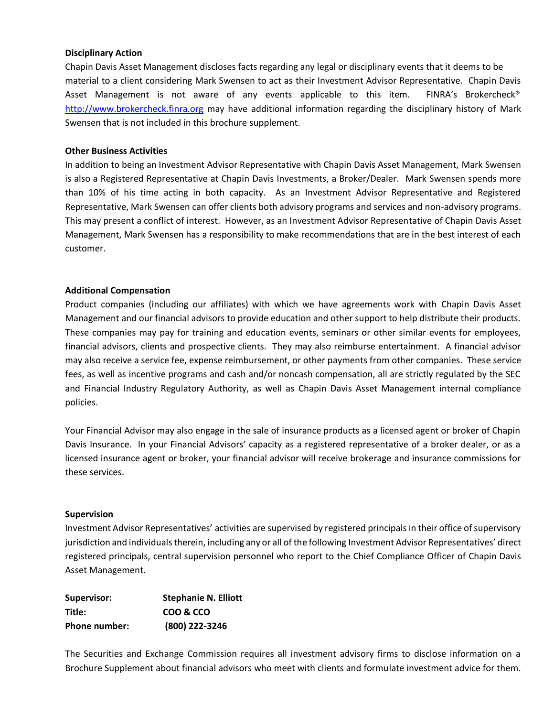## **Disciplinary Action**

Chapin Davis Asset Management discloses facts regarding any legal or disciplinary events that it deems to be material to a client considering Mark Swensen to act as their Investment Advisor Representative. Chapin Davis Asset Management is not aware of any events applicable to this item. FINRA's Brokercheck® [http://www.brokercheck.finra.org](http://www.brokercheck.finra.org/) may have additional information regarding the disciplinary history of Mark Swensen that is not included in this brochure supplement.

#### **Other Business Activities**

In addition to being an Investment Advisor Representative with Chapin Davis Asset Management, Mark Swensen is also a Registered Representative at Chapin Davis Investments, a Broker/Dealer. Mark Swensen spends more than 10% of his time acting in both capacity. As an Investment Advisor Representative and Registered Representative, Mark Swensen can offer clients both advisory programs and services and non-advisory programs. This may present a conflict of interest. However, as an Investment Advisor Representative of Chapin Davis Asset Management, Mark Swensen has a responsibility to make recommendations that are in the best interest of each customer.

## **Additional Compensation**

Product companies (including our affiliates) with which we have agreements work with Chapin Davis Asset Management and our financial advisors to provide education and other support to help distribute their products. These companies may pay for training and education events, seminars or other similar events for employees, financial advisors, clients and prospective clients. They may also reimburse entertainment. A financial advisor may also receive a service fee, expense reimbursement, or other payments from other companies. These service fees, as well as incentive programs and cash and/or noncash compensation, all are strictly regulated by the SEC and Financial Industry Regulatory Authority, as well as Chapin Davis Asset Management internal compliance policies.

Your Financial Advisor may also engage in the sale of insurance products as a licensed agent or broker of Chapin Davis Insurance. In your Financial Advisors' capacity as a registered representative of a broker dealer, or as a licensed insurance agent or broker, your financial advisor will receive brokerage and insurance commissions for these services.

#### **Supervision**

Investment Advisor Representatives' activities are supervised by registered principals in their office of supervisory jurisdiction and individuals therein, including any or all of the following Investment Advisor Representatives' direct registered principals, central supervision personnel who report to the Chief Compliance Officer of Chapin Davis Asset Management.

| Supervisor:          | <b>Stephanie N. Elliott</b> |
|----------------------|-----------------------------|
| Title:               | COO & CCO                   |
| <b>Phone number:</b> | (800) 222-3246              |

The Securities and Exchange Commission requires all investment advisory firms to disclose information on a Brochure Supplement about financial advisors who meet with clients and formulate investment advice for them.